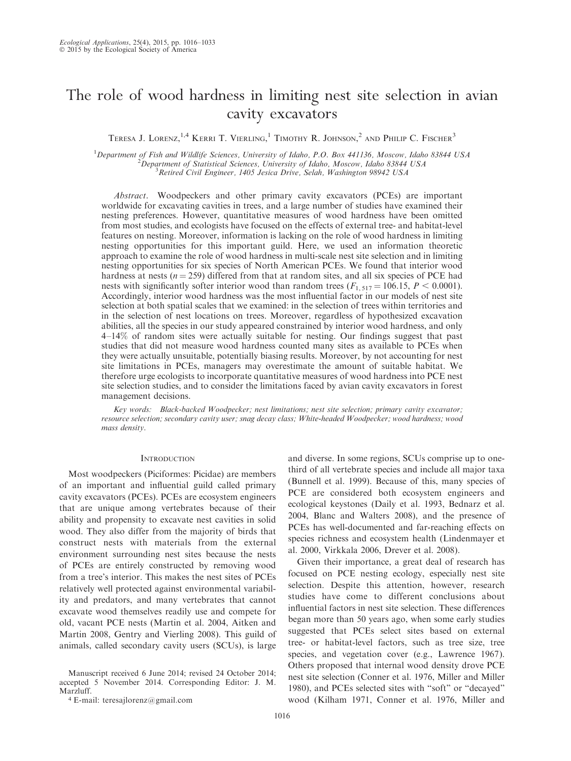# The role of wood hardness in limiting nest site selection in avian cavity excavators

TERESA J. LORENZ,<sup>1,4</sup> KERRI T. VIERLING,<sup>1</sup> TIMOTHY R. JOHNSON,<sup>2</sup> AND PHILIP C. FISCHER<sup>3</sup>

<sup>1</sup>Department of Fish and Wildlife Sciences, University of Idaho, P.O. Box 441136, Moscow, Idaho 83844 USA<br><sup>2</sup>Department of Statistical Sciences, University of Idaho, Moscow, Idaho 83844 USA  $\tilde{P}$ Department of Statistical Sciences, University of Idaho, Moscow, Idaho 83844 USA  $3$ Retired Civil Engineer, 1405 Jesica Drive, Selah, Washington 98942 USA

Abstract. Woodpeckers and other primary cavity excavators (PCEs) are important worldwide for excavating cavities in trees, and a large number of studies have examined their nesting preferences. However, quantitative measures of wood hardness have been omitted from most studies, and ecologists have focused on the effects of external tree- and habitat-level features on nesting. Moreover, information is lacking on the role of wood hardness in limiting nesting opportunities for this important guild. Here, we used an information theoretic approach to examine the role of wood hardness in multi-scale nest site selection and in limiting nesting opportunities for six species of North American PCEs. We found that interior wood hardness at nests ( $n = 259$ ) differed from that at random sites, and all six species of PCE had nests with significantly softer interior wood than random trees  $(F_{1, 517} = 106.15, P \le 0.0001)$ . Accordingly, interior wood hardness was the most influential factor in our models of nest site selection at both spatial scales that we examined: in the selection of trees within territories and in the selection of nest locations on trees. Moreover, regardless of hypothesized excavation abilities, all the species in our study appeared constrained by interior wood hardness, and only 4–14% of random sites were actually suitable for nesting. Our findings suggest that past studies that did not measure wood hardness counted many sites as available to PCEs when they were actually unsuitable, potentially biasing results. Moreover, by not accounting for nest site limitations in PCEs, managers may overestimate the amount of suitable habitat. We therefore urge ecologists to incorporate quantitative measures of wood hardness into PCE nest site selection studies, and to consider the limitations faced by avian cavity excavators in forest management decisions.

Key words: Black-backed Woodpecker; nest limitations; nest site selection; primary cavity excavator; resource selection; secondary cavity user; snag decay class; White-headed Woodpecker; wood hardness; wood mass density.

### **INTRODUCTION**

Most woodpeckers (Piciformes: Picidae) are members of an important and influential guild called primary cavity excavators (PCEs). PCEs are ecosystem engineers that are unique among vertebrates because of their ability and propensity to excavate nest cavities in solid wood. They also differ from the majority of birds that construct nests with materials from the external environment surrounding nest sites because the nests of PCEs are entirely constructed by removing wood from a tree's interior. This makes the nest sites of PCEs relatively well protected against environmental variability and predators, and many vertebrates that cannot excavate wood themselves readily use and compete for old, vacant PCE nests (Martin et al. 2004, Aitken and Martin 2008, Gentry and Vierling 2008). This guild of animals, called secondary cavity users (SCUs), is large

Manuscript received 6 June 2014; revised 24 October 2014; accepted 5 November 2014. Corresponding Editor: J. M. Marzluff.

<sup>4</sup> E-mail: teresajlorenz@gmail.com

and diverse. In some regions, SCUs comprise up to onethird of all vertebrate species and include all major taxa (Bunnell et al. 1999). Because of this, many species of PCE are considered both ecosystem engineers and ecological keystones (Daily et al. 1993, Bednarz et al. 2004, Blanc and Walters 2008), and the presence of PCEs has well-documented and far-reaching effects on species richness and ecosystem health (Lindenmayer et al. 2000, Virkkala 2006, Drever et al. 2008).

Given their importance, a great deal of research has focused on PCE nesting ecology, especially nest site selection. Despite this attention, however, research studies have come to different conclusions about influential factors in nest site selection. These differences began more than 50 years ago, when some early studies suggested that PCEs select sites based on external tree- or habitat-level factors, such as tree size, tree species, and vegetation cover (e.g., Lawrence 1967). Others proposed that internal wood density drove PCE nest site selection (Conner et al. 1976, Miller and Miller 1980), and PCEs selected sites with ''soft'' or ''decayed'' wood (Kilham 1971, Conner et al. 1976, Miller and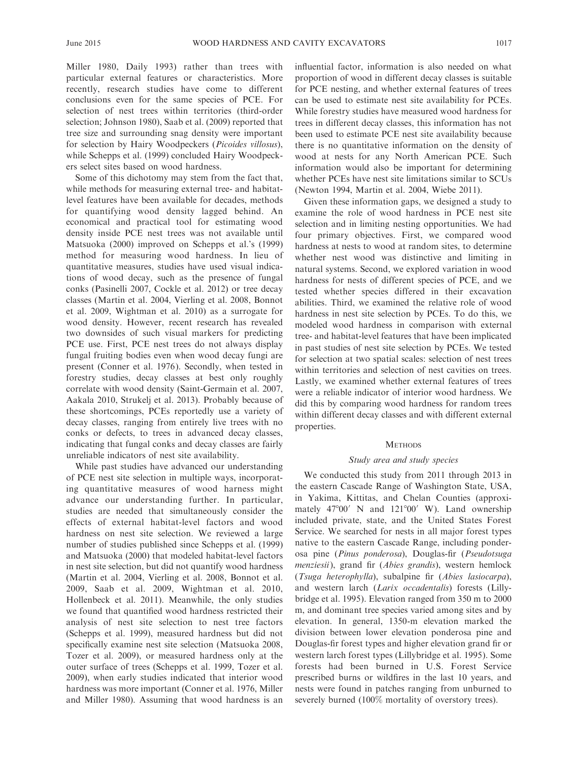Miller 1980, Daily 1993) rather than trees with particular external features or characteristics. More recently, research studies have come to different conclusions even for the same species of PCE. For selection of nest trees within territories (third-order selection; Johnson 1980), Saab et al. (2009) reported that tree size and surrounding snag density were important for selection by Hairy Woodpeckers (Picoides villosus), while Schepps et al. (1999) concluded Hairy Woodpeckers select sites based on wood hardness.

Some of this dichotomy may stem from the fact that, while methods for measuring external tree- and habitatlevel features have been available for decades, methods for quantifying wood density lagged behind. An economical and practical tool for estimating wood density inside PCE nest trees was not available until Matsuoka (2000) improved on Schepps et al.'s (1999) method for measuring wood hardness. In lieu of quantitative measures, studies have used visual indications of wood decay, such as the presence of fungal conks (Pasinelli 2007, Cockle et al. 2012) or tree decay classes (Martin et al. 2004, Vierling et al. 2008, Bonnot et al. 2009, Wightman et al. 2010) as a surrogate for wood density. However, recent research has revealed two downsides of such visual markers for predicting PCE use. First, PCE nest trees do not always display fungal fruiting bodies even when wood decay fungi are present (Conner et al. 1976). Secondly, when tested in forestry studies, decay classes at best only roughly correlate with wood density (Saint-Germain et al. 2007, Aakala 2010, Strukelj et al. 2013). Probably because of these shortcomings, PCEs reportedly use a variety of decay classes, ranging from entirely live trees with no conks or defects, to trees in advanced decay classes, indicating that fungal conks and decay classes are fairly unreliable indicators of nest site availability.

While past studies have advanced our understanding of PCE nest site selection in multiple ways, incorporating quantitative measures of wood harness might advance our understanding further. In particular, studies are needed that simultaneously consider the effects of external habitat-level factors and wood hardness on nest site selection. We reviewed a large number of studies published since Schepps et al. (1999) and Matsuoka (2000) that modeled habitat-level factors in nest site selection, but did not quantify wood hardness (Martin et al. 2004, Vierling et al. 2008, Bonnot et al. 2009, Saab et al. 2009, Wightman et al. 2010, Hollenbeck et al. 2011). Meanwhile, the only studies we found that quantified wood hardness restricted their analysis of nest site selection to nest tree factors (Schepps et al. 1999), measured hardness but did not specifically examine nest site selection (Matsuoka 2008, Tozer et al. 2009), or measured hardness only at the outer surface of trees (Schepps et al. 1999, Tozer et al. 2009), when early studies indicated that interior wood hardness was more important (Conner et al. 1976, Miller and Miller 1980). Assuming that wood hardness is an influential factor, information is also needed on what proportion of wood in different decay classes is suitable for PCE nesting, and whether external features of trees can be used to estimate nest site availability for PCEs. While forestry studies have measured wood hardness for trees in different decay classes, this information has not been used to estimate PCE nest site availability because there is no quantitative information on the density of wood at nests for any North American PCE. Such information would also be important for determining whether PCEs have nest site limitations similar to SCUs (Newton 1994, Martin et al. 2004, Wiebe 2011).

Given these information gaps, we designed a study to examine the role of wood hardness in PCE nest site selection and in limiting nesting opportunities. We had four primary objectives. First, we compared wood hardness at nests to wood at random sites, to determine whether nest wood was distinctive and limiting in natural systems. Second, we explored variation in wood hardness for nests of different species of PCE, and we tested whether species differed in their excavation abilities. Third, we examined the relative role of wood hardness in nest site selection by PCEs. To do this, we modeled wood hardness in comparison with external tree- and habitat-level features that have been implicated in past studies of nest site selection by PCEs. We tested for selection at two spatial scales: selection of nest trees within territories and selection of nest cavities on trees. Lastly, we examined whether external features of trees were a reliable indicator of interior wood hardness. We did this by comparing wood hardness for random trees within different decay classes and with different external properties.

## **METHODS**

### Study area and study species

We conducted this study from 2011 through 2013 in the eastern Cascade Range of Washington State, USA, in Yakima, Kittitas, and Chelan Counties (approximately  $47^{\circ}00'$  N and  $121^{\circ}00'$  W). Land ownership included private, state, and the United States Forest Service. We searched for nests in all major forest types native to the eastern Cascade Range, including ponderosa pine (Pinus ponderosa), Douglas-fir (Pseudotsuga menziesii), grand fir (Abies grandis), western hemlock (Tsuga heterophylla), subalpine fir (Abies lasiocarpa), and western larch (Larix occadentalis) forests (Lillybridge et al. 1995). Elevation ranged from 350 m to 2000 m, and dominant tree species varied among sites and by elevation. In general, 1350-m elevation marked the division between lower elevation ponderosa pine and Douglas-fir forest types and higher elevation grand fir or western larch forest types (Lillybridge et al. 1995). Some forests had been burned in U.S. Forest Service prescribed burns or wildfires in the last 10 years, and nests were found in patches ranging from unburned to severely burned (100% mortality of overstory trees).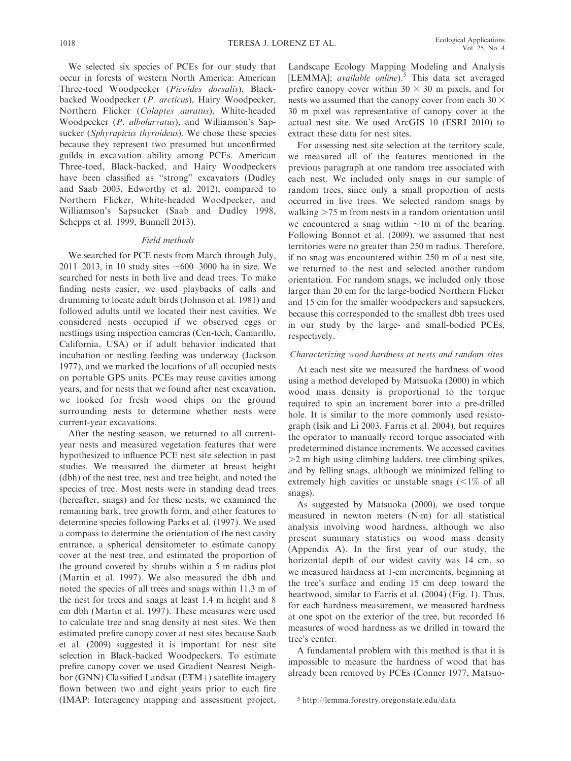We selected six species of PCEs for our study that occur in forests of western North America: American Three-toed Woodpecker (Picoides dorsalis), Blackbacked Woodpecker (P. arcticus), Hairy Woodpecker, Northern Flicker (Colaptes auratus), White-headed Woodpecker (P. albolarvatus), and Williamson's Sapsucker (Sphyrapicus thyroideus). We chose these species because they represent two presumed but unconfirmed guilds in excavation ability among PCEs. American Three-toed, Black-backed, and Hairy Woodpeckers have been classified as ''strong'' excavators (Dudley and Saab 2003, Edworthy et al. 2012), compared to Northern Flicker, White-headed Woodpecker, and Williamson's Sapsucker (Saab and Dudley 1998, Schepps et al. 1999, Bunnell 2013).

### Field methods

We searched for PCE nests from March through July, 2011–2013, in 10 study sites  $\sim 600-3000$  ha in size. We searched for nests in both live and dead trees. To make finding nests easier, we used playbacks of calls and drumming to locate adult birds (Johnson et al. 1981) and followed adults until we located their nest cavities. We considered nests occupied if we observed eggs or nestlings using inspection cameras (Cen-tech, Camarillo, California, USA) or if adult behavior indicated that incubation or nestling feeding was underway (Jackson 1977), and we marked the locations of all occupied nests on portable GPS units. PCEs may reuse cavities among years, and for nests that we found after nest excavation, we looked for fresh wood chips on the ground surrounding nests to determine whether nests were current-year excavations.

After the nesting season, we returned to all currentyear nests and measured vegetation features that were hypothesized to influence PCE nest site selection in past studies. We measured the diameter at breast height (dbh) of the nest tree, nest and tree height, and noted the species of tree. Most nests were in standing dead trees (hereafter, snags) and for these nests, we examined the remaining bark, tree growth form, and other features to determine species following Parks et al. (1997). We used a compass to determine the orientation of the nest cavity entrance, a spherical densitometer to estimate canopy cover at the nest tree, and estimated the proportion of the ground covered by shrubs within a 5 m radius plot (Martin et al. 1997). We also measured the dbh and noted the species of all trees and snags within 11.3 m of the nest for trees and snags at least 1.4 m height and 8 cm dbh (Martin et al. 1997). These measures were used to calculate tree and snag density at nest sites. We then estimated prefire canopy cover at nest sites because Saab et al. (2009) suggested it is important for nest site selection in Black-backed Woodpeckers. To estimate prefire canopy cover we used Gradient Nearest Neighbor (GNN) Classified Landsat (ETM+) satellite imagery flown between two and eight years prior to each fire (IMAP: Interagency mapping and assessment project, Landscape Ecology Mapping Modeling and Analysis [LEMMA]; available online).<sup>5</sup> This data set averaged prefire canopy cover within  $30 \times 30$  m pixels, and for nests we assumed that the canopy cover from each  $30 \times$ 30 m pixel was representative of canopy cover at the actual nest site. We used ArcGIS 10 (ESRI 2010) to extract these data for nest sites.

For assessing nest site selection at the territory scale, we measured all of the features mentioned in the previous paragraph at one random tree associated with each nest. We included only snags in our sample of random trees, since only a small proportion of nests occurred in live trees. We selected random snags by walking  $>75$  m from nests in a random orientation until we encountered a snag within  $\sim$ 10 m of the bearing. Following Bonnot et al. (2009), we assumed that nest territories were no greater than 250 m radius. Therefore, if no snag was encountered within 250 m of a nest site, we returned to the nest and selected another random orientation. For random snags, we included only those larger than 20 cm for the large-bodied Northern Flicker and 15 cm for the smaller woodpeckers and sapsuckers, because this corresponded to the smallest dbh trees used in our study by the large- and small-bodied PCEs, respectively.

### Characterizing wood hardness at nests and random sites

At each nest site we measured the hardness of wood using a method developed by Matsuoka (2000) in which wood mass density is proportional to the torque required to spin an increment borer into a pre-drilled hole. It is similar to the more commonly used resistograph (Isik and Li 2003, Farris et al. 2004), but requires the operator to manually record torque associated with predetermined distance increments. We accessed cavities  $>$ 2 m high using climbing ladders, tree climbing spikes, and by felling snags, although we minimized felling to extremely high cavities or unstable snags  $\left( \langle 1 \rangle \rangle$  of all snags).

As suggested by Matsuoka (2000), we used torque measured in newton meters (N-m) for all statistical analysis involving wood hardness, although we also present summary statistics on wood mass density (Appendix A). In the first year of our study, the horizontal depth of our widest cavity was 14 cm, so we measured hardness at 1-cm increments, beginning at the tree's surface and ending 15 cm deep toward the heartwood, similar to Farris et al. (2004) (Fig. 1). Thus, for each hardness measurement, we measured hardness at one spot on the exterior of the tree, but recorded 16 measures of wood hardness as we drilled in toward the tree's center.

A fundamental problem with this method is that it is impossible to measure the hardness of wood that has already been removed by PCEs (Conner 1977, Matsuo-

<sup>5</sup> http://lemma.forestry.oregonstate.edu/data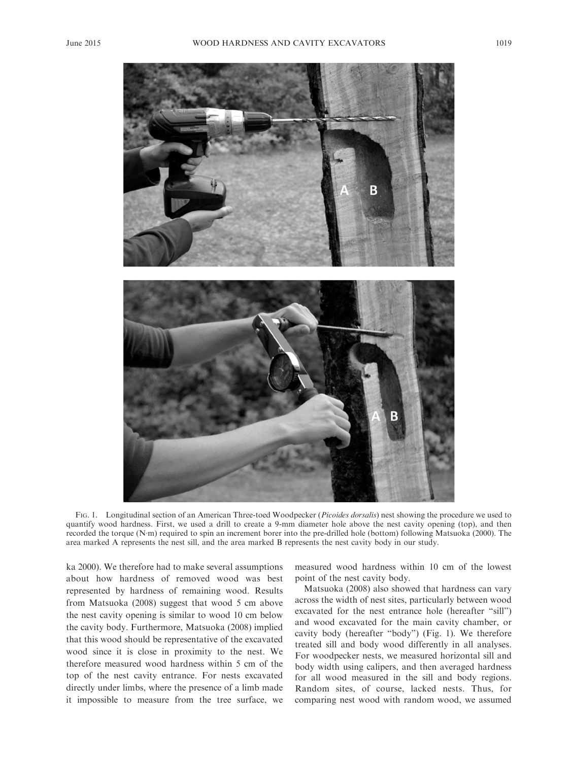

FIG. 1. Longitudinal section of an American Three-toed Woodpecker (Picoides dorsalis) nest showing the procedure we used to quantify wood hardness. First, we used a drill to create a 9-mm diameter hole above the nest cavity opening (top), and then recorded the torque (N-m) required to spin an increment borer into the pre-drilled hole (bottom) following Matsuoka (2000). The area marked A represents the nest sill, and the area marked B represents the nest cavity body in our study.

ka 2000). We therefore had to make several assumptions about how hardness of removed wood was best represented by hardness of remaining wood. Results from Matsuoka (2008) suggest that wood 5 cm above the nest cavity opening is similar to wood 10 cm below the cavity body. Furthermore, Matsuoka (2008) implied that this wood should be representative of the excavated wood since it is close in proximity to the nest. We therefore measured wood hardness within 5 cm of the top of the nest cavity entrance. For nests excavated directly under limbs, where the presence of a limb made it impossible to measure from the tree surface, we measured wood hardness within 10 cm of the lowest point of the nest cavity body.

Matsuoka (2008) also showed that hardness can vary across the width of nest sites, particularly between wood excavated for the nest entrance hole (hereafter "sill") and wood excavated for the main cavity chamber, or cavity body (hereafter ''body'') (Fig. 1). We therefore treated sill and body wood differently in all analyses. For woodpecker nests, we measured horizontal sill and body width using calipers, and then averaged hardness for all wood measured in the sill and body regions. Random sites, of course, lacked nests. Thus, for comparing nest wood with random wood, we assumed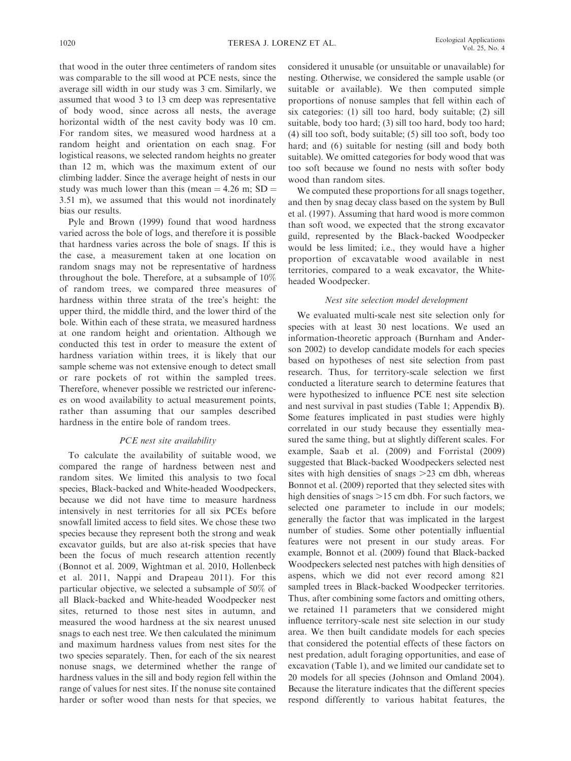that wood in the outer three centimeters of random sites was comparable to the sill wood at PCE nests, since the average sill width in our study was 3 cm. Similarly, we assumed that wood 3 to 13 cm deep was representative of body wood, since across all nests, the average horizontal width of the nest cavity body was 10 cm. For random sites, we measured wood hardness at a random height and orientation on each snag. For logistical reasons, we selected random heights no greater than 12 m, which was the maximum extent of our climbing ladder. Since the average height of nests in our study was much lower than this (mean  $=$  4.26 m; SD  $=$ 3.51 m), we assumed that this would not inordinately bias our results.

Pyle and Brown (1999) found that wood hardness varied across the bole of logs, and therefore it is possible that hardness varies across the bole of snags. If this is the case, a measurement taken at one location on random snags may not be representative of hardness throughout the bole. Therefore, at a subsample of 10% of random trees, we compared three measures of hardness within three strata of the tree's height: the upper third, the middle third, and the lower third of the bole. Within each of these strata, we measured hardness at one random height and orientation. Although we conducted this test in order to measure the extent of hardness variation within trees, it is likely that our sample scheme was not extensive enough to detect small or rare pockets of rot within the sampled trees. Therefore, whenever possible we restricted our inferences on wood availability to actual measurement points, rather than assuming that our samples described hardness in the entire bole of random trees.

## PCE nest site availability

To calculate the availability of suitable wood, we compared the range of hardness between nest and random sites. We limited this analysis to two focal species, Black-backed and White-headed Woodpeckers, because we did not have time to measure hardness intensively in nest territories for all six PCEs before snowfall limited access to field sites. We chose these two species because they represent both the strong and weak excavator guilds, but are also at-risk species that have been the focus of much research attention recently (Bonnot et al. 2009, Wightman et al. 2010, Hollenbeck et al. 2011, Nappi and Drapeau 2011). For this particular objective, we selected a subsample of 50% of all Black-backed and White-headed Woodpecker nest sites, returned to those nest sites in autumn, and measured the wood hardness at the six nearest unused snags to each nest tree. We then calculated the minimum and maximum hardness values from nest sites for the two species separately. Then, for each of the six nearest nonuse snags, we determined whether the range of hardness values in the sill and body region fell within the range of values for nest sites. If the nonuse site contained harder or softer wood than nests for that species, we

considered it unusable (or unsuitable or unavailable) for nesting. Otherwise, we considered the sample usable (or suitable or available). We then computed simple proportions of nonuse samples that fell within each of six categories: (1) sill too hard, body suitable; (2) sill suitable, body too hard; (3) sill too hard, body too hard; (4) sill too soft, body suitable; (5) sill too soft, body too hard; and (6) suitable for nesting (sill and body both suitable). We omitted categories for body wood that was too soft because we found no nests with softer body wood than random sites.

We computed these proportions for all snags together, and then by snag decay class based on the system by Bull et al. (1997). Assuming that hard wood is more common than soft wood, we expected that the strong excavator guild, represented by the Black-backed Woodpecker would be less limited; i.e., they would have a higher proportion of excavatable wood available in nest territories, compared to a weak excavator, the Whiteheaded Woodpecker.

### Nest site selection model development

We evaluated multi-scale nest site selection only for species with at least 30 nest locations. We used an information-theoretic approach (Burnham and Anderson 2002) to develop candidate models for each species based on hypotheses of nest site selection from past research. Thus, for territory-scale selection we first conducted a literature search to determine features that were hypothesized to influence PCE nest site selection and nest survival in past studies (Table 1; Appendix B). Some features implicated in past studies were highly correlated in our study because they essentially measured the same thing, but at slightly different scales. For example, Saab et al. (2009) and Forristal (2009) suggested that Black-backed Woodpeckers selected nest sites with high densities of snags  $>23$  cm dbh, whereas Bonnot et al. (2009) reported that they selected sites with high densities of snags  $>15$  cm dbh. For such factors, we selected one parameter to include in our models; generally the factor that was implicated in the largest number of studies. Some other potentially influential features were not present in our study areas. For example, Bonnot et al. (2009) found that Black-backed Woodpeckers selected nest patches with high densities of aspens, which we did not ever record among 821 sampled trees in Black-backed Woodpecker territories. Thus, after combining some factors and omitting others, we retained 11 parameters that we considered might influence territory-scale nest site selection in our study area. We then built candidate models for each species that considered the potential effects of these factors on nest predation, adult foraging opportunities, and ease of excavation (Table 1), and we limited our candidate set to 20 models for all species (Johnson and Omland 2004). Because the literature indicates that the different species respond differently to various habitat features, the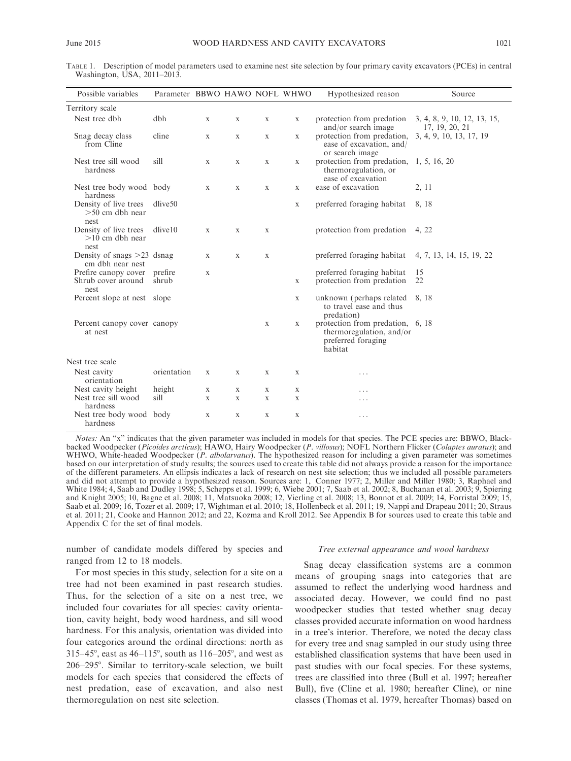TABLE 1. Description of model parameters used to examine nest site selection by four primary cavity excavators (PCEs) in central Washington, USA, 2011-2013.

| Possible variables                                 | Parameter BBWO HAWO NOFL WHWO |              |   |              |              | Hypothesized reason                                                                           | Source                                        |
|----------------------------------------------------|-------------------------------|--------------|---|--------------|--------------|-----------------------------------------------------------------------------------------------|-----------------------------------------------|
| Territory scale                                    |                               |              |   |              |              |                                                                                               |                                               |
| Nest tree dbh                                      | dbh                           | X            | X | X            | X            | protection from predation<br>and/or search image                                              | 3, 4, 8, 9, 10, 12, 13, 15,<br>17, 19, 20, 21 |
| Snag decay class<br>from Cline                     | cline                         | X            | X | X            | X            | protection from predation,<br>ease of excavation, and/<br>or search image                     | 3, 4, 9, 10, 13, 17, 19                       |
| Nest tree sill wood<br>hardness                    | sill                          | X            | X | X            | X            | protection from predation, 1, 5, 16, 20<br>thermoregulation, or<br>ease of excavation         |                                               |
| Nest tree body wood body<br>hardness               |                               | $\mathbf{X}$ | X | X            | X            | ease of excavation                                                                            | 2, 11                                         |
| Density of live trees<br>$>50$ cm dbh near<br>nest | dlive <sub>50</sub>           |              |   |              | $\mathbf{X}$ | preferred foraging habitat                                                                    | 8, 18                                         |
| Density of live trees<br>$>10$ cm dbh near<br>nest | $d$ live $10$                 | $\mathbf{X}$ | X | $\mathbf{X}$ |              | protection from predation 4, 22                                                               |                                               |
| Density of snags $>23$ dsnag<br>cm dbh near nest   |                               | X            | X | X            |              | preferred foraging habitat                                                                    | 4, 7, 13, 14, 15, 19, 22                      |
| Prefire canopy cover<br>Shrub cover around<br>nest | prefire<br>shrub              | X            |   |              | X            | preferred foraging habitat<br>protection from predation                                       | 15<br>22                                      |
| Percent slope at nest slope                        |                               |              |   |              | $\mathbf{X}$ | unknown (perhaps related 8, 18)<br>to travel ease and thus<br>predation)                      |                                               |
| Percent canopy cover canopy<br>at nest             |                               |              |   | X            | X            | protection from predation, 6, 18<br>thermoregulation, and/or<br>preferred foraging<br>habitat |                                               |
| Nest tree scale                                    |                               |              |   |              |              |                                                                                               |                                               |
| Nest cavity<br>orientation                         | orientation                   | X            | X | X            | X            | .                                                                                             |                                               |
| Nest cavity height                                 | height                        | $\mathbf{X}$ | X | X            | X            | .                                                                                             |                                               |
| Nest tree sill wood<br>hardness                    | sill                          | $\mathbf{X}$ | X | $\mathbf{X}$ | X            | .                                                                                             |                                               |
| Nest tree body wood body<br>hardness               |                               | X            | X | X            | X            | .                                                                                             |                                               |

Notes: An "x" indicates that the given parameter was included in models for that species. The PCE species are: BBWO, Blackbacked Woodpecker (Picoides arcticus); HAWO, Hairy Woodpecker (P. villosus); NOFL Northern Flicker (Colaptes auratus); and WHWO, White-headed Woodpecker (P. albolarvatus). The hypothesized reason for including a given parameter was sometimes based on our interpretation of study results; the sources used to create this table did not always provide a reason for the importance of the different parameters. An ellipsis indicates a lack of research on nest site selection; thus we included all possible parameters and did not attempt to provide a hypothesized reason. Sources are: 1, Conner 1977; 2, Miller and Miller 1980; 3, Raphael and White 1984; 4, Saab and Dudley 1998; 5, Schepps et al. 1999; 6, Wiebe 2001; 7, Saab et al. 2002; 8, Buchanan et al. 2003; 9, Spiering and Knight 2005; 10, Bagne et al. 2008; 11, Matsuoka 2008; 12, Vierling et al. 2008; 13, Bonnot et al. 2009; 14, Forristal 2009; 15, Saab et al. 2009; 16, Tozer et al. 2009; 17, Wightman et al. 2010; 18, Hollenbeck et al. 2011; 19, Nappi and Drapeau 2011; 20, Straus et al. 2011; 21, Cooke and Hannon 2012; and 22, Kozma and Kroll 2012. See Appendix B for sources used to create this table and Appendix C for the set of final models.

number of candidate models differed by species and ranged from 12 to 18 models.

For most species in this study, selection for a site on a tree had not been examined in past research studies. Thus, for the selection of a site on a nest tree, we included four covariates for all species: cavity orientation, cavity height, body wood hardness, and sill wood hardness. For this analysis, orientation was divided into four categories around the ordinal directions: north as 315–45 $^{\circ}$ , east as 46–115 $^{\circ}$ , south as 116–205 $^{\circ}$ , and west as 206–295°. Similar to territory-scale selection, we built models for each species that considered the effects of nest predation, ease of excavation, and also nest thermoregulation on nest site selection.

#### Tree external appearance and wood hardness

Snag decay classification systems are a common means of grouping snags into categories that are assumed to reflect the underlying wood hardness and associated decay. However, we could find no past woodpecker studies that tested whether snag decay classes provided accurate information on wood hardness in a tree's interior. Therefore, we noted the decay class for every tree and snag sampled in our study using three established classification systems that have been used in past studies with our focal species. For these systems, trees are classified into three (Bull et al. 1997; hereafter Bull), five (Cline et al. 1980; hereafter Cline), or nine classes (Thomas et al. 1979, hereafter Thomas) based on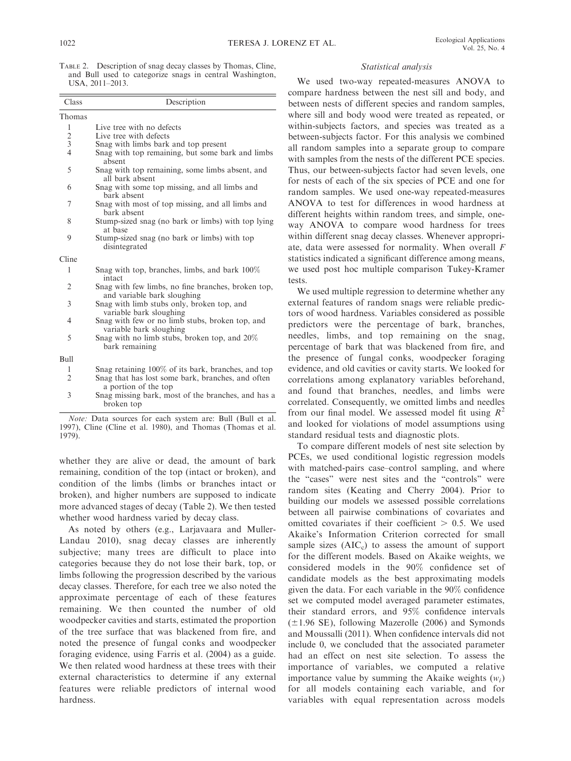TABLE 2. Description of snag decay classes by Thomas, Cline, and Bull used to categorize snags in central Washington, USA, 2011–2013.

| Class          | Description                                                                       |
|----------------|-----------------------------------------------------------------------------------|
| Thomas         |                                                                                   |
| 1              | Live tree with no defects                                                         |
|                | Live tree with defects                                                            |
| $\frac{2}{3}$  | Snag with limbs bark and top present                                              |
| $\overline{4}$ | Snag with top remaining, but some bark and limbs<br>absent                        |
| 5              | Snag with top remaining, some limbs absent, and<br>all bark absent                |
| 6              | Snag with some top missing, and all limbs and<br>bark absent                      |
| 7              | Snag with most of top missing, and all limbs and<br>bark absent                   |
| 8              | Stump-sized snag (no bark or limbs) with top lying<br>at base                     |
| 9              | Stump-sized snag (no bark or limbs) with top<br>disintegrated                     |
| Cline          |                                                                                   |
| 1              | Snag with top, branches, limbs, and bark 100%<br>intact                           |
| 2              | Snag with few limbs, no fine branches, broken top,<br>and variable bark sloughing |
| 3              | Snag with limb stubs only, broken top, and<br>variable bark sloughing             |
| $\overline{4}$ | Snag with few or no limb stubs, broken top, and<br>variable bark sloughing        |
| 5              | Snag with no limb stubs, broken top, and 20%<br>bark remaining                    |
| Bull           |                                                                                   |
| 1              | Snag retaining 100% of its bark, branches, and top                                |
| $\overline{2}$ | Snag that has lost some bark, branches, and often<br>a portion of the top         |
| 3              | Snag missing bark, most of the branches, and has a<br>broken top                  |

Note: Data sources for each system are: Bull (Bull et al. 1997), Cline (Cline et al. 1980), and Thomas (Thomas et al. 1979).

whether they are alive or dead, the amount of bark remaining, condition of the top (intact or broken), and condition of the limbs (limbs or branches intact or broken), and higher numbers are supposed to indicate more advanced stages of decay (Table 2). We then tested whether wood hardness varied by decay class.

As noted by others (e.g., Larjavaara and Muller-Landau 2010), snag decay classes are inherently subjective; many trees are difficult to place into categories because they do not lose their bark, top, or limbs following the progression described by the various decay classes. Therefore, for each tree we also noted the approximate percentage of each of these features remaining. We then counted the number of old woodpecker cavities and starts, estimated the proportion of the tree surface that was blackened from fire, and noted the presence of fungal conks and woodpecker foraging evidence, using Farris et al. (2004) as a guide. We then related wood hardness at these trees with their external characteristics to determine if any external features were reliable predictors of internal wood hardness.

### Statistical analysis

We used two-way repeated-measures ANOVA to compare hardness between the nest sill and body, and between nests of different species and random samples, where sill and body wood were treated as repeated, or within-subjects factors, and species was treated as a between-subjects factor. For this analysis we combined all random samples into a separate group to compare with samples from the nests of the different PCE species. Thus, our between-subjects factor had seven levels, one for nests of each of the six species of PCE and one for random samples. We used one-way repeated-measures ANOVA to test for differences in wood hardness at different heights within random trees, and simple, oneway ANOVA to compare wood hardness for trees within different snag decay classes. Whenever appropriate, data were assessed for normality. When overall F statistics indicated a significant difference among means, we used post hoc multiple comparison Tukey-Kramer tests.

We used multiple regression to determine whether any external features of random snags were reliable predictors of wood hardness. Variables considered as possible predictors were the percentage of bark, branches, needles, limbs, and top remaining on the snag, percentage of bark that was blackened from fire, and the presence of fungal conks, woodpecker foraging evidence, and old cavities or cavity starts. We looked for correlations among explanatory variables beforehand, and found that branches, needles, and limbs were correlated. Consequently, we omitted limbs and needles from our final model. We assessed model fit using  $R^2$ and looked for violations of model assumptions using standard residual tests and diagnostic plots.

To compare different models of nest site selection by PCEs, we used conditional logistic regression models with matched-pairs case–control sampling, and where the ''cases'' were nest sites and the ''controls'' were random sites (Keating and Cherry 2004). Prior to building our models we assessed possible correlations between all pairwise combinations of covariates and omitted covariates if their coefficient  $> 0.5$ . We used Akaike's Information Criterion corrected for small sample sizes  $(AIC<sub>c</sub>)$  to assess the amount of support for the different models. Based on Akaike weights, we considered models in the 90% confidence set of candidate models as the best approximating models given the data. For each variable in the 90% confidence set we computed model averaged parameter estimates, their standard errors, and 95% confidence intervals  $(\pm 1.96 \text{ SE})$ , following Mazerolle (2006) and Symonds and Moussalli (2011). When confidence intervals did not include 0, we concluded that the associated parameter had an effect on nest site selection. To assess the importance of variables, we computed a relative importance value by summing the Akaike weights  $(w_i)$ for all models containing each variable, and for variables with equal representation across models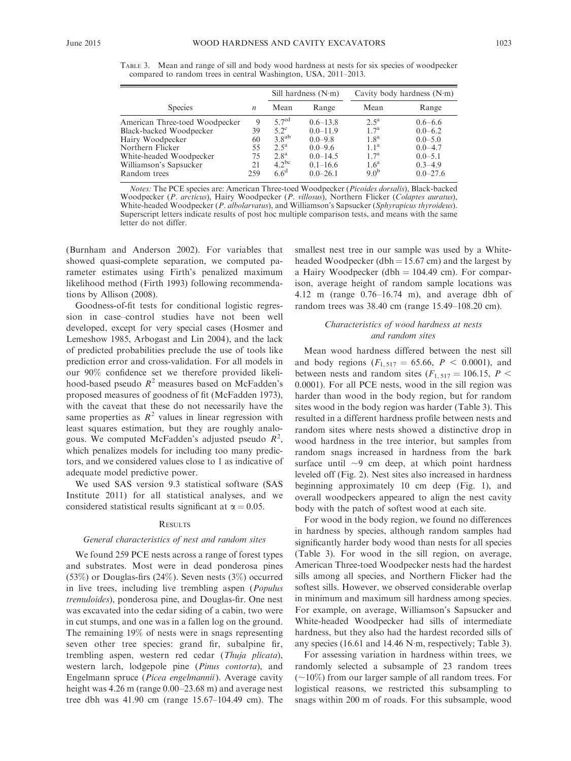|  | ×<br>٧ |  | ×<br>۰. |
|--|--------|--|---------|
|--|--------|--|---------|

TABLE 3. Mean and range of sill and body wood hardness at nests for six species of woodpecker compared to random trees in central Washington, USA, 2011–2013.

|                                                                                                                                                        |                                 | Sill hardness $(N \cdot m)$                                                                          |                                                                                            | Cavity body hardness (N·m)                                                                                     |                                                                                        |
|--------------------------------------------------------------------------------------------------------------------------------------------------------|---------------------------------|------------------------------------------------------------------------------------------------------|--------------------------------------------------------------------------------------------|----------------------------------------------------------------------------------------------------------------|----------------------------------------------------------------------------------------|
| <b>Species</b>                                                                                                                                         | $\boldsymbol{n}$                | Mean                                                                                                 | Range                                                                                      | Mean                                                                                                           | Range                                                                                  |
| American Three-toed Woodpecker<br>Black-backed Woodpecker<br>Hairy Woodpecker<br>Northern Flicker<br>White-headed Woodpecker<br>Williamson's Sapsucker | 9<br>39<br>60<br>55<br>75<br>21 | 5.7 <sup>cd</sup><br>$5.2^\circ$<br>$3.8^{ab}$<br>2.5 <sup>a</sup><br>2.8 <sup>a</sup><br>$4.2^{bc}$ | $0.6 - 13.8$<br>$0.0 - 11.9$<br>$0.0 - 9.8$<br>$0.0 - 9.6$<br>$0.0 - 14.5$<br>$0.1 - 16.6$ | $2.5^{\rm a}$<br>1.7 <sup>a</sup><br>1.8 <sup>a</sup><br>$1.1^{\rm a}$<br>1.7 <sup>a</sup><br>1.6 <sup>a</sup> | $0.6 - 6.6$<br>$0.0 - 6.2$<br>$0.0 - 5.0$<br>$0.0 - 4.7$<br>$0.0 - 5.1$<br>$0.3 - 4.9$ |
| Random trees                                                                                                                                           | 259                             | 6.6 <sup>d</sup>                                                                                     | $0.0 - 26.1$                                                                               | $9.0^{b}$                                                                                                      | $0.0 - 27.6$                                                                           |

Notes: The PCE species are: American Three-toed Woodpecker (Picoides dorsalis), Black-backed Woodpecker (P. arcticus), Hairy Woodpecker (P. villosus), Northern Flicker (Colaptes auratus), White-headed Woodpecker (P. albolarvatus), and Williamson's Sapsucker (Sphyrapicus thyroideus). Superscript letters indicate results of post hoc multiple comparison tests, and means with the same letter do not differ.

(Burnham and Anderson 2002). For variables that showed quasi-complete separation, we computed parameter estimates using Firth's penalized maximum likelihood method (Firth 1993) following recommendations by Allison (2008).

Goodness-of-fit tests for conditional logistic regression in case–control studies have not been well developed, except for very special cases (Hosmer and Lemeshow 1985, Arbogast and Lin 2004), and the lack of predicted probabilities preclude the use of tools like prediction error and cross-validation. For all models in our 90% confidence set we therefore provided likelihood-based pseudo  $R^2$  measures based on McFadden's proposed measures of goodness of fit (McFadden 1973), with the caveat that these do not necessarily have the same properties as  $R^2$  values in linear regression with least squares estimation, but they are roughly analogous. We computed McFadden's adjusted pseudo  $R^2$ , which penalizes models for including too many predictors, and we considered values close to 1 as indicative of adequate model predictive power.

We used SAS version 9.3 statistical software (SAS Institute 2011) for all statistical analyses, and we considered statistical results significant at  $\alpha = 0.05$ .

### **RESULTS**

### General characteristics of nest and random sites

We found 259 PCE nests across a range of forest types and substrates. Most were in dead ponderosa pines (53%) or Douglas-firs (24%). Seven nests (3%) occurred in live trees, including live trembling aspen (Populus tremuloides), ponderosa pine, and Douglas-fir. One nest was excavated into the cedar siding of a cabin, two were in cut stumps, and one was in a fallen log on the ground. The remaining 19% of nests were in snags representing seven other tree species: grand fir, subalpine fir, trembling aspen, western red cedar (Thuja plicata), western larch, lodgepole pine (*Pinus contorta*), and Engelmann spruce (Picea engelmannii). Average cavity height was 4.26 m (range  $0.00-23.68$  m) and average nest tree dbh was 41.90 cm (range 15.67–104.49 cm). The smallest nest tree in our sample was used by a Whiteheaded Woodpecker (dbh  $= 15.67$  cm) and the largest by a Hairy Woodpecker (dbh  $= 104.49$  cm). For comparison, average height of random sample locations was 4.12 m (range 0.76–16.74 m), and average dbh of random trees was 38.40 cm (range 15.49–108.20 cm).

# Characteristics of wood hardness at nests and random sites

Mean wood hardness differed between the nest sill and body regions  $(F_{1, 517} = 65.66, P < 0.0001)$ , and between nests and random sites  $(F_{1, 517} = 106.15, P <$ 0.0001). For all PCE nests, wood in the sill region was harder than wood in the body region, but for random sites wood in the body region was harder (Table 3). This resulted in a different hardness profile between nests and random sites where nests showed a distinctive drop in wood hardness in the tree interior, but samples from random snags increased in hardness from the bark surface until  $\sim$ 9 cm deep, at which point hardness leveled off (Fig. 2). Nest sites also increased in hardness beginning approximately 10 cm deep (Fig. 1), and overall woodpeckers appeared to align the nest cavity body with the patch of softest wood at each site.

For wood in the body region, we found no differences in hardness by species, although random samples had significantly harder body wood than nests for all species (Table 3). For wood in the sill region, on average, American Three-toed Woodpecker nests had the hardest sills among all species, and Northern Flicker had the softest sills. However, we observed considerable overlap in minimum and maximum sill hardness among species. For example, on average, Williamson's Sapsucker and White-headed Woodpecker had sills of intermediate hardness, but they also had the hardest recorded sills of any species (16.61 and 14.46 N-m, respectively; Table 3).

For assessing variation in hardness within trees, we randomly selected a subsample of 23 random trees  $(\sim10\%)$  from our larger sample of all random trees. For logistical reasons, we restricted this subsampling to snags within 200 m of roads. For this subsample, wood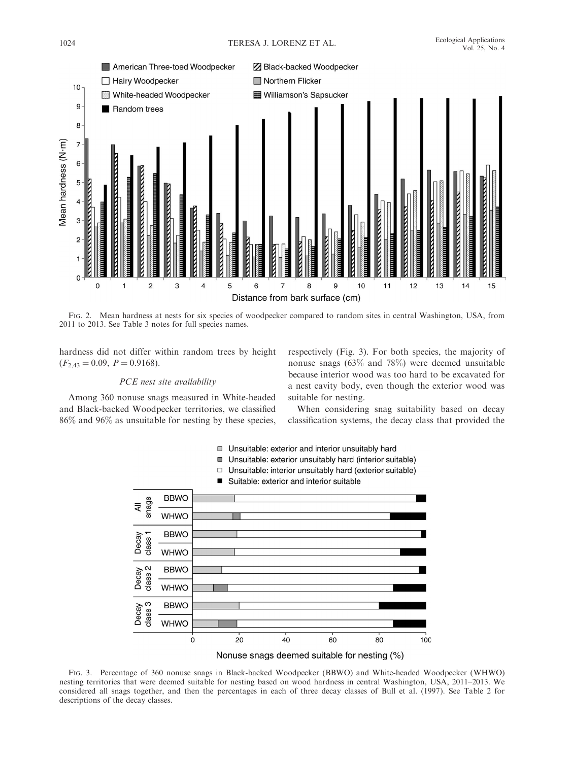

FIG. 2. Mean hardness at nests for six species of woodpecker compared to random sites in central Washington, USA, from 2011 to 2013. See Table 3 notes for full species names.

hardness did not differ within random trees by height  $(F_{2,43} = 0.09, P = 0.9168).$ 

# PCE nest site availability

Among 360 nonuse snags measured in White-headed and Black-backed Woodpecker territories, we classified 86% and 96% as unsuitable for nesting by these species, respectively (Fig. 3). For both species, the majority of nonuse snags (63% and 78%) were deemed unsuitable because interior wood was too hard to be excavated for a nest cavity body, even though the exterior wood was suitable for nesting.

When considering snag suitability based on decay classification systems, the decay class that provided the



Nonuse snags deemed suitable for nesting (%)

FIG. 3. Percentage of 360 nonuse snags in Black-backed Woodpecker (BBWO) and White-headed Woodpecker (WHWO) nesting territories that were deemed suitable for nesting based on wood hardness in central Washington, USA, 2011–2013. We considered all snags together, and then the percentages in each of three decay classes of Bull et al. (1997). See Table 2 for descriptions of the decay classes.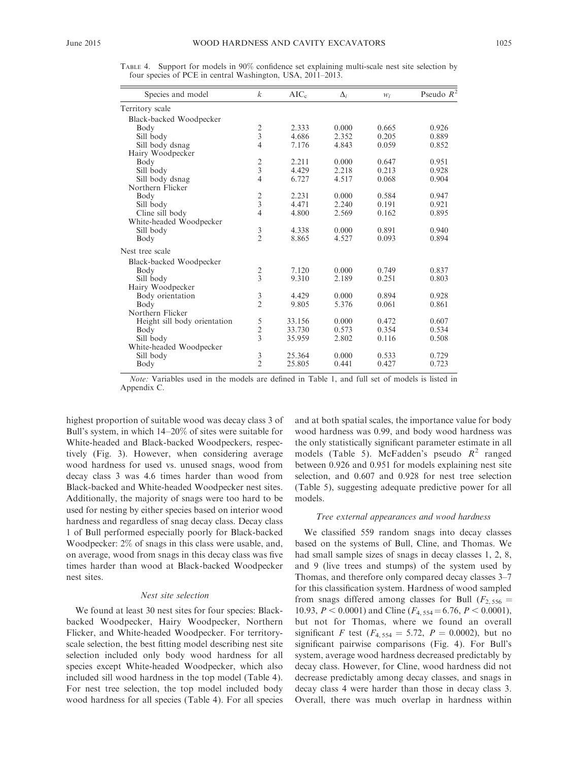| Species and model            | $\boldsymbol{k}$ | $AIC_c$ | $\Delta_i$ | $W_i$ | Pseudo $R^2$ |
|------------------------------|------------------|---------|------------|-------|--------------|
| Territory scale              |                  |         |            |       |              |
| Black-backed Woodpecker      |                  |         |            |       |              |
| Body                         |                  | 2.333   | 0.000      | 0.665 | 0.926        |
| Sill body                    | $\frac{2}{3}$    | 4.686   | 2.352      | 0.205 | 0.889        |
| Sill body dsnag              | $\overline{4}$   | 7.176   | 4.843      | 0.059 | 0.852        |
| Hairy Woodpecker             |                  |         |            |       |              |
| Body                         |                  | 2.211   | 0.000      | 0.647 | 0.951        |
| Sill body                    | $\frac{2}{3}$    | 4.429   | 2.218      | 0.213 | 0.928        |
| Sill body dsnag              | $\overline{4}$   | 6.727   | 4.517      | 0.068 | 0.904        |
| Northern Flicker             |                  |         |            |       |              |
| Body                         |                  | 2.231   | 0.000      | 0.584 | 0.947        |
| Sill body                    | $\frac{2}{3}$    | 4.471   | 2.240      | 0.191 | 0.921        |
| Cline sill body              | $\overline{4}$   | 4.800   | 2.569      | 0.162 | 0.895        |
| White-headed Woodpecker      |                  |         |            |       |              |
| Sill body                    | 3                | 4.338   | 0.000      | 0.891 | 0.940        |
| Body                         | $\overline{2}$   | 8.865   | 4.527      | 0.093 | 0.894        |
| Nest tree scale              |                  |         |            |       |              |
| Black-backed Woodpecker      |                  |         |            |       |              |
| Body                         |                  | 7.120   | 0.000      | 0.749 | 0.837        |
| Sill body                    | $\frac{2}{3}$    | 9.310   | 2.189      | 0.251 | 0.803        |
| Hairy Woodpecker             |                  |         |            |       |              |
| Body orientation             | 3                | 4.429   | 0.000      | 0.894 | 0.928        |
| Body                         | $\overline{c}$   | 9.805   | 5.376      | 0.061 | 0.861        |
| Northern Flicker             |                  |         |            |       |              |
| Height sill body orientation |                  | 33.156  | 0.000      | 0.472 | 0.607        |
| Body                         | $\frac{5}{2}$    | 33.730  | 0.573      | 0.354 | 0.534        |
| Sill body                    |                  | 35.959  | 2.802      | 0.116 | 0.508        |
| White-headed Woodpecker      |                  |         |            |       |              |
| Sill body                    | $\mathfrak z$    | 25.364  | 0.000      | 0.533 | 0.729        |
| Body                         | $\overline{2}$   | 25.805  | 0.441      | 0.427 | 0.723        |

TABLE 4. Support for models in 90% confidence set explaining multi-scale nest site selection by four species of PCE in central Washington, USA, 2011–2013.

Note: Variables used in the models are defined in Table 1, and full set of models is listed in Appendix C.

highest proportion of suitable wood was decay class 3 of Bull's system, in which 14–20% of sites were suitable for White-headed and Black-backed Woodpeckers, respectively (Fig. 3). However, when considering average wood hardness for used vs. unused snags, wood from decay class 3 was 4.6 times harder than wood from Black-backed and White-headed Woodpecker nest sites. Additionally, the majority of snags were too hard to be used for nesting by either species based on interior wood hardness and regardless of snag decay class. Decay class 1 of Bull performed especially poorly for Black-backed Woodpecker: 2% of snags in this class were usable, and, on average, wood from snags in this decay class was five times harder than wood at Black-backed Woodpecker nest sites.

# Nest site selection

We found at least 30 nest sites for four species: Blackbacked Woodpecker, Hairy Woodpecker, Northern Flicker, and White-headed Woodpecker. For territoryscale selection, the best fitting model describing nest site selection included only body wood hardness for all species except White-headed Woodpecker, which also included sill wood hardness in the top model (Table 4). For nest tree selection, the top model included body wood hardness for all species (Table 4). For all species and at both spatial scales, the importance value for body wood hardness was 0.99, and body wood hardness was the only statistically significant parameter estimate in all models (Table 5). McFadden's pseudo  $R^2$  ranged between 0.926 and 0.951 for models explaining nest site selection, and 0.607 and 0.928 for nest tree selection (Table 5), suggesting adequate predictive power for all models.

### Tree external appearances and wood hardness

We classified 559 random snags into decay classes based on the systems of Bull, Cline, and Thomas. We had small sample sizes of snags in decay classes 1, 2, 8, and 9 (live trees and stumps) of the system used by Thomas, and therefore only compared decay classes 3–7 for this classification system. Hardness of wood sampled from snags differed among classes for Bull ( $F_{2,556}$  = 10.93,  $P < 0.0001$ ) and Cline ( $F_{4, 554} = 6.76, P < 0.0001$ ), but not for Thomas, where we found an overall significant F test ( $F_{4, 554} = 5.72$ ,  $P = 0.0002$ ), but no significant pairwise comparisons (Fig. 4). For Bull's system, average wood hardness decreased predictably by decay class. However, for Cline, wood hardness did not decrease predictably among decay classes, and snags in decay class 4 were harder than those in decay class 3. Overall, there was much overlap in hardness within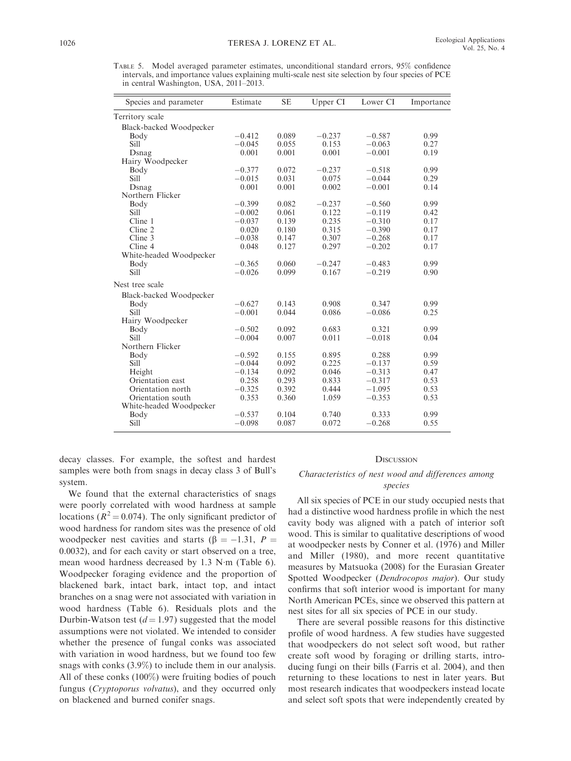TABLE 5. Model averaged parameter estimates, unconditional standard errors, 95% confidence intervals, and importance values explaining multi-scale nest site selection by four species of PCE in central Washington, USA, 2011–2013.

| Species and parameter   | Estimate | <b>SE</b> | Upper CI | Lower CI | Importance |
|-------------------------|----------|-----------|----------|----------|------------|
| Territory scale         |          |           |          |          |            |
| Black-backed Woodpecker |          |           |          |          |            |
| Body                    | $-0.412$ | 0.089     | $-0.237$ | $-0.587$ | 0.99       |
| Sill                    | $-0.045$ | 0.055     | 0.153    | $-0.063$ | 0.27       |
| Dsnag                   | 0.001    | 0.001     | 0.001    | $-0.001$ | 0.19       |
| Hairy Woodpecker        |          |           |          |          |            |
| Body                    | $-0.377$ | 0.072     | $-0.237$ | $-0.518$ | 0.99       |
| Sill                    | $-0.015$ | 0.031     | 0.075    | $-0.044$ | 0.29       |
| Dsnag                   | 0.001    | 0.001     | 0.002    | $-0.001$ | 0.14       |
| Northern Flicker        |          |           |          |          |            |
| Body                    | $-0.399$ | 0.082     | $-0.237$ | $-0.560$ | 0.99       |
| Sill                    | $-0.002$ | 0.061     | 0.122    | $-0.119$ | 0.42       |
| Cline 1                 | $-0.037$ | 0.139     | 0.235    | $-0.310$ | 0.17       |
| Cline 2                 | 0.020    | 0.180     | 0.315    | $-0.390$ | 0.17       |
| Cline 3                 | $-0.038$ | 0.147     | 0.307    | $-0.268$ | 0.17       |
| Cline 4                 | 0.048    | 0.127     | 0.297    | $-0.202$ | 0.17       |
| White-headed Woodpecker |          |           |          |          |            |
| Body                    | $-0.365$ | 0.060     | $-0.247$ | $-0.483$ | 0.99       |
| Sill                    | $-0.026$ | 0.099     | 0.167    | $-0.219$ | 0.90       |
| Nest tree scale         |          |           |          |          |            |
| Black-backed Woodpecker |          |           |          |          |            |
| Body                    | $-0.627$ | 0.143     | 0.908    | 0.347    | 0.99       |
| Sill                    | $-0.001$ | 0.044     | 0.086    | $-0.086$ | 0.25       |
| Hairy Woodpecker        |          |           |          |          |            |
| Body                    | $-0.502$ | 0.092     | 0.683    | 0.321    | 0.99       |
| Sill                    | $-0.004$ | 0.007     | 0.011    | $-0.018$ | 0.04       |
| Northern Flicker        |          |           |          |          |            |
| Body                    | $-0.592$ | 0.155     | 0.895    | 0.288    | 0.99       |
| Sill                    | $-0.044$ | 0.092     | 0.225    | $-0.137$ | 0.59       |
| Height                  | $-0.134$ | 0.092     | 0.046    | $-0.313$ | 0.47       |
| Orientation east        | 0.258    | 0.293     | 0.833    | $-0.317$ | 0.53       |
| Orientation north       | $-0.325$ | 0.392     | 0.444    | $-1.095$ | 0.53       |
| Orientation south       | 0.353    | 0.360     | 1.059    | $-0.353$ | 0.53       |
| White-headed Woodpecker |          |           |          |          |            |
| Body                    | $-0.537$ | 0.104     | 0.740    | 0.333    | 0.99       |
| Sill                    | $-0.098$ | 0.087     | 0.072    | $-0.268$ | 0.55       |

decay classes. For example, the softest and hardest samples were both from snags in decay class 3 of Bull's system.

We found that the external characteristics of snags were poorly correlated with wood hardness at sample locations ( $R^2 = 0.074$ ). The only significant predictor of wood hardness for random sites was the presence of old woodpecker nest cavities and starts ( $\beta = -1.31$ ,  $P =$ 0.0032), and for each cavity or start observed on a tree, mean wood hardness decreased by 1.3 N-m (Table 6). Woodpecker foraging evidence and the proportion of blackened bark, intact bark, intact top, and intact branches on a snag were not associated with variation in wood hardness (Table 6). Residuals plots and the Durbin-Watson test  $(d = 1.97)$  suggested that the model assumptions were not violated. We intended to consider whether the presence of fungal conks was associated with variation in wood hardness, but we found too few snags with conks (3.9%) to include them in our analysis. All of these conks (100%) were fruiting bodies of pouch fungus (Cryptoporus volvatus), and they occurred only on blackened and burned conifer snags.

#### **DISCUSSION**

### Characteristics of nest wood and differences among species

All six species of PCE in our study occupied nests that had a distinctive wood hardness profile in which the nest cavity body was aligned with a patch of interior soft wood. This is similar to qualitative descriptions of wood at woodpecker nests by Conner et al. (1976) and Miller and Miller (1980), and more recent quantitative measures by Matsuoka (2008) for the Eurasian Greater Spotted Woodpecker (Dendrocopos major). Our study confirms that soft interior wood is important for many North American PCEs, since we observed this pattern at nest sites for all six species of PCE in our study.

There are several possible reasons for this distinctive profile of wood hardness. A few studies have suggested that woodpeckers do not select soft wood, but rather create soft wood by foraging or drilling starts, introducing fungi on their bills (Farris et al. 2004), and then returning to these locations to nest in later years. But most research indicates that woodpeckers instead locate and select soft spots that were independently created by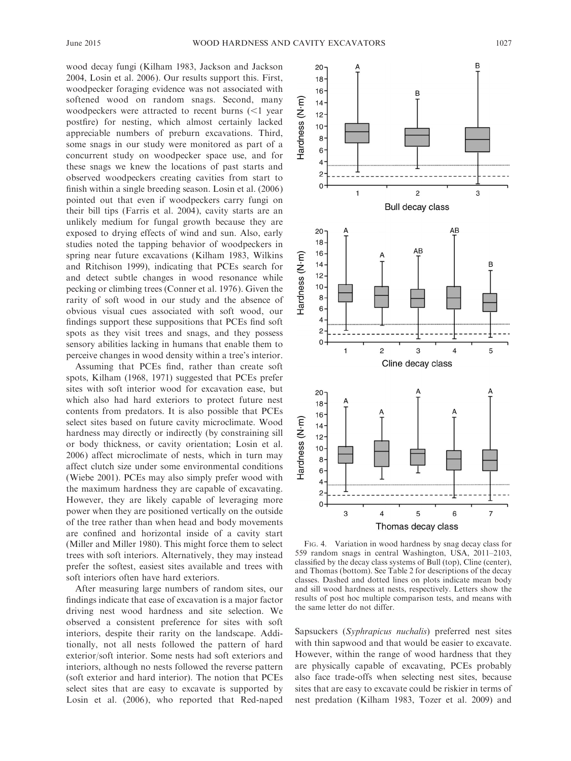wood decay fungi (Kilham 1983, Jackson and Jackson 2004, Losin et al. 2006). Our results support this. First, woodpecker foraging evidence was not associated with softened wood on random snags. Second, many woodpeckers were attracted to recent burns  $\leq 1$  year postfire) for nesting, which almost certainly lacked appreciable numbers of preburn excavations. Third, some snags in our study were monitored as part of a concurrent study on woodpecker space use, and for these snags we knew the locations of past starts and observed woodpeckers creating cavities from start to finish within a single breeding season. Losin et al. (2006) pointed out that even if woodpeckers carry fungi on their bill tips (Farris et al. 2004), cavity starts are an unlikely medium for fungal growth because they are exposed to drying effects of wind and sun. Also, early studies noted the tapping behavior of woodpeckers in spring near future excavations (Kilham 1983, Wilkins and Ritchison 1999), indicating that PCEs search for and detect subtle changes in wood resonance while pecking or climbing trees (Conner et al. 1976). Given the rarity of soft wood in our study and the absence of obvious visual cues associated with soft wood, our findings support these suppositions that PCEs find soft spots as they visit trees and snags, and they possess sensory abilities lacking in humans that enable them to perceive changes in wood density within a tree's interior.

Assuming that PCEs find, rather than create soft spots, Kilham (1968, 1971) suggested that PCEs prefer sites with soft interior wood for excavation ease, but which also had hard exteriors to protect future nest contents from predators. It is also possible that PCEs select sites based on future cavity microclimate. Wood hardness may directly or indirectly (by constraining sill or body thickness, or cavity orientation; Losin et al. 2006) affect microclimate of nests, which in turn may affect clutch size under some environmental conditions (Wiebe 2001). PCEs may also simply prefer wood with the maximum hardness they are capable of excavating. However, they are likely capable of leveraging more power when they are positioned vertically on the outside of the tree rather than when head and body movements are confined and horizontal inside of a cavity start (Miller and Miller 1980). This might force them to select trees with soft interiors. Alternatively, they may instead prefer the softest, easiest sites available and trees with soft interiors often have hard exteriors.

After measuring large numbers of random sites, our findings indicate that ease of excavation is a major factor driving nest wood hardness and site selection. We observed a consistent preference for sites with soft interiors, despite their rarity on the landscape. Additionally, not all nests followed the pattern of hard exterior/soft interior. Some nests had soft exteriors and interiors, although no nests followed the reverse pattern (soft exterior and hard interior). The notion that PCEs select sites that are easy to excavate is supported by Losin et al. (2006), who reported that Red-naped



FIG. 4. Variation in wood hardness by snag decay class for 559 random snags in central Washington, USA, 2011–2103, classified by the decay class systems of Bull (top), Cline (center), and Thomas (bottom). See Table 2 for descriptions of the decay classes. Dashed and dotted lines on plots indicate mean body and sill wood hardness at nests, respectively. Letters show the results of post hoc multiple comparison tests, and means with the same letter do not differ.

Sapsuckers (Syphrapicus nuchalis) preferred nest sites with thin sapwood and that would be easier to excavate. However, within the range of wood hardness that they are physically capable of excavating, PCEs probably also face trade-offs when selecting nest sites, because sites that are easy to excavate could be riskier in terms of nest predation (Kilham 1983, Tozer et al. 2009) and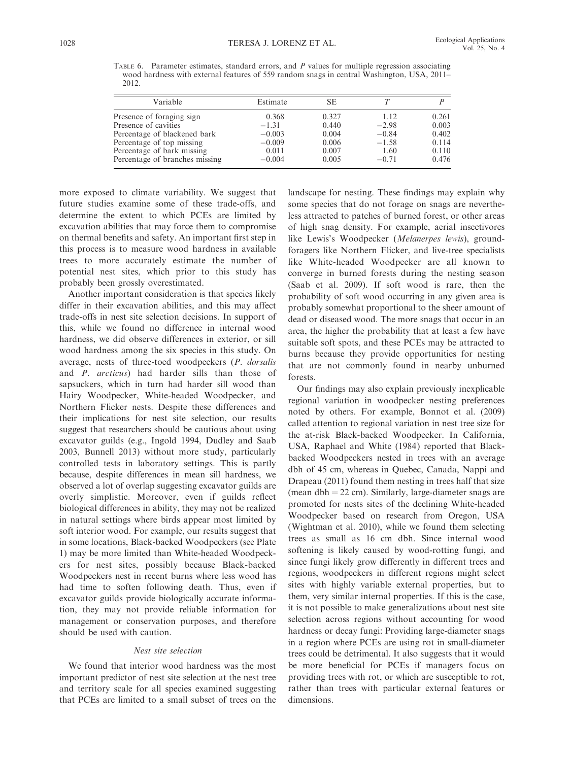TABLE 6. Parameter estimates, standard errors, and P values for multiple regression associating wood hardness with external features of 559 random snags in central Washington, USA, 2011– 2012.

| Variable                       | Estimate | SE    |         |       |
|--------------------------------|----------|-------|---------|-------|
| Presence of foraging sign      | 0.368    | 0.327 | 1.12    | 0.261 |
| Presence of cavities           | $-1.31$  | 0.440 | $-2.98$ | 0.003 |
| Percentage of blackened bark   | $-0.003$ | 0.004 | $-0.84$ | 0.402 |
| Percentage of top missing      | $-0.009$ | 0.006 | $-1.58$ | 0.114 |
| Percentage of bark missing     | 0.011    | 0.007 | 1.60    | 0.110 |
| Percentage of branches missing | $-0.004$ | 0.005 | $-0.71$ | 0.476 |

more exposed to climate variability. We suggest that future studies examine some of these trade-offs, and determine the extent to which PCEs are limited by excavation abilities that may force them to compromise on thermal benefits and safety. An important first step in this process is to measure wood hardness in available trees to more accurately estimate the number of potential nest sites, which prior to this study has probably been grossly overestimated.

Another important consideration is that species likely differ in their excavation abilities, and this may affect trade-offs in nest site selection decisions. In support of this, while we found no difference in internal wood hardness, we did observe differences in exterior, or sill wood hardness among the six species in this study. On average, nests of three-toed woodpeckers (P. dorsalis and P. arcticus) had harder sills than those of sapsuckers, which in turn had harder sill wood than Hairy Woodpecker, White-headed Woodpecker, and Northern Flicker nests. Despite these differences and their implications for nest site selection, our results suggest that researchers should be cautious about using excavator guilds (e.g., Ingold 1994, Dudley and Saab 2003, Bunnell 2013) without more study, particularly controlled tests in laboratory settings. This is partly because, despite differences in mean sill hardness, we observed a lot of overlap suggesting excavator guilds are overly simplistic. Moreover, even if guilds reflect biological differences in ability, they may not be realized in natural settings where birds appear most limited by soft interior wood. For example, our results suggest that in some locations, Black-backed Woodpeckers (see Plate 1) may be more limited than White-headed Woodpeckers for nest sites, possibly because Black-backed Woodpeckers nest in recent burns where less wood has had time to soften following death. Thus, even if excavator guilds provide biologically accurate information, they may not provide reliable information for management or conservation purposes, and therefore should be used with caution.

### Nest site selection

We found that interior wood hardness was the most important predictor of nest site selection at the nest tree and territory scale for all species examined suggesting that PCEs are limited to a small subset of trees on the landscape for nesting. These findings may explain why some species that do not forage on snags are nevertheless attracted to patches of burned forest, or other areas of high snag density. For example, aerial insectivores like Lewis's Woodpecker (Melanerpes lewis), groundforagers like Northern Flicker, and live-tree specialists like White-headed Woodpecker are all known to converge in burned forests during the nesting season (Saab et al. 2009). If soft wood is rare, then the probability of soft wood occurring in any given area is probably somewhat proportional to the sheer amount of dead or diseased wood. The more snags that occur in an area, the higher the probability that at least a few have suitable soft spots, and these PCEs may be attracted to burns because they provide opportunities for nesting that are not commonly found in nearby unburned forests.

Our findings may also explain previously inexplicable regional variation in woodpecker nesting preferences noted by others. For example, Bonnot et al. (2009) called attention to regional variation in nest tree size for the at-risk Black-backed Woodpecker. In California, USA, Raphael and White (1984) reported that Blackbacked Woodpeckers nested in trees with an average dbh of 45 cm, whereas in Quebec, Canada, Nappi and Drapeau (2011) found them nesting in trees half that size (mean dbh  $= 22$  cm). Similarly, large-diameter snags are promoted for nests sites of the declining White-headed Woodpecker based on research from Oregon, USA (Wightman et al. 2010), while we found them selecting trees as small as 16 cm dbh. Since internal wood softening is likely caused by wood-rotting fungi, and since fungi likely grow differently in different trees and regions, woodpeckers in different regions might select sites with highly variable external properties, but to them, very similar internal properties. If this is the case, it is not possible to make generalizations about nest site selection across regions without accounting for wood hardness or decay fungi: Providing large-diameter snags in a region where PCEs are using rot in small-diameter trees could be detrimental. It also suggests that it would be more beneficial for PCEs if managers focus on providing trees with rot, or which are susceptible to rot, rather than trees with particular external features or dimensions.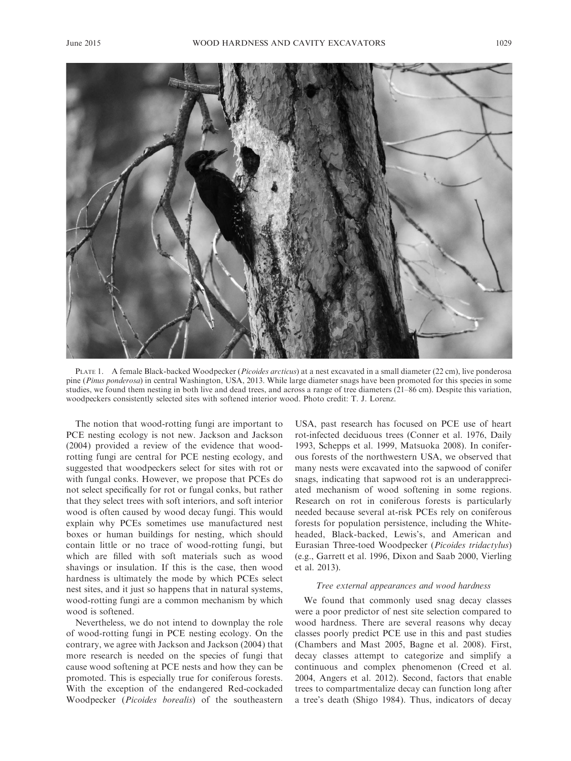

PLATE 1. A female Black-backed Woodpecker (Picoides arcticus) at a nest excavated in a small diameter (22 cm), live ponderosa pine (Pinus ponderosa) in central Washington, USA, 2013. While large diameter snags have been promoted for this species in some studies, we found them nesting in both live and dead trees, and across a range of tree diameters (21–86 cm). Despite this variation, woodpeckers consistently selected sites with softened interior wood. Photo credit: T. J. Lorenz.

The notion that wood-rotting fungi are important to PCE nesting ecology is not new. Jackson and Jackson (2004) provided a review of the evidence that woodrotting fungi are central for PCE nesting ecology, and suggested that woodpeckers select for sites with rot or with fungal conks. However, we propose that PCEs do not select specifically for rot or fungal conks, but rather that they select trees with soft interiors, and soft interior wood is often caused by wood decay fungi. This would explain why PCEs sometimes use manufactured nest boxes or human buildings for nesting, which should contain little or no trace of wood-rotting fungi, but which are filled with soft materials such as wood shavings or insulation. If this is the case, then wood hardness is ultimately the mode by which PCEs select nest sites, and it just so happens that in natural systems, wood-rotting fungi are a common mechanism by which wood is softened.

Nevertheless, we do not intend to downplay the role of wood-rotting fungi in PCE nesting ecology. On the contrary, we agree with Jackson and Jackson (2004) that more research is needed on the species of fungi that cause wood softening at PCE nests and how they can be promoted. This is especially true for coniferous forests. With the exception of the endangered Red-cockaded Woodpecker (Picoides borealis) of the southeastern USA, past research has focused on PCE use of heart rot-infected deciduous trees (Conner et al. 1976, Daily 1993, Schepps et al. 1999, Matsuoka 2008). In coniferous forests of the northwestern USA, we observed that many nests were excavated into the sapwood of conifer snags, indicating that sapwood rot is an underappreciated mechanism of wood softening in some regions. Research on rot in coniferous forests is particularly needed because several at-risk PCEs rely on coniferous forests for population persistence, including the Whiteheaded, Black-backed, Lewis's, and American and Eurasian Three-toed Woodpecker (Picoides tridactylus) (e.g., Garrett et al. 1996, Dixon and Saab 2000, Vierling et al. 2013).

### Tree external appearances and wood hardness

We found that commonly used snag decay classes were a poor predictor of nest site selection compared to wood hardness. There are several reasons why decay classes poorly predict PCE use in this and past studies (Chambers and Mast 2005, Bagne et al. 2008). First, decay classes attempt to categorize and simplify a continuous and complex phenomenon (Creed et al. 2004, Angers et al. 2012). Second, factors that enable trees to compartmentalize decay can function long after a tree's death (Shigo 1984). Thus, indicators of decay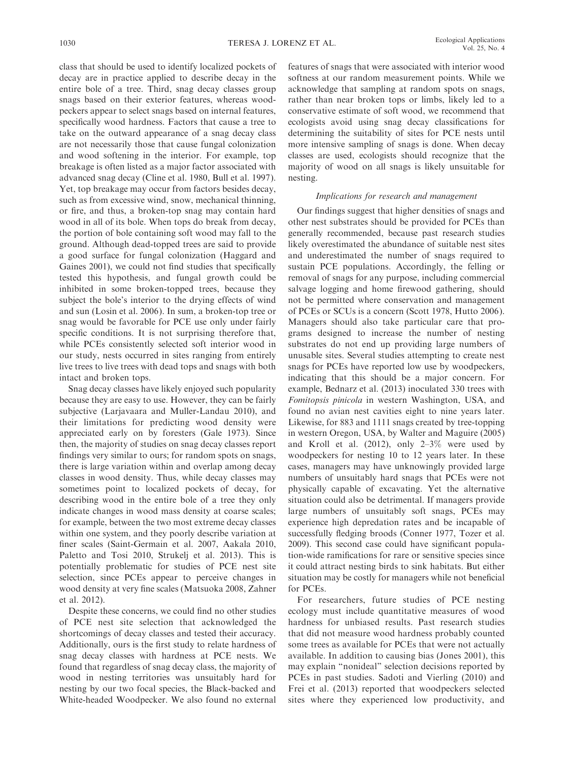class that should be used to identify localized pockets of decay are in practice applied to describe decay in the entire bole of a tree. Third, snag decay classes group snags based on their exterior features, whereas woodpeckers appear to select snags based on internal features, specifically wood hardness. Factors that cause a tree to take on the outward appearance of a snag decay class are not necessarily those that cause fungal colonization and wood softening in the interior. For example, top breakage is often listed as a major factor associated with advanced snag decay (Cline et al. 1980, Bull et al. 1997). Yet, top breakage may occur from factors besides decay, such as from excessive wind, snow, mechanical thinning, or fire, and thus, a broken-top snag may contain hard wood in all of its bole. When tops do break from decay, the portion of bole containing soft wood may fall to the ground. Although dead-topped trees are said to provide a good surface for fungal colonization (Haggard and Gaines 2001), we could not find studies that specifically tested this hypothesis, and fungal growth could be inhibited in some broken-topped trees, because they subject the bole's interior to the drying effects of wind and sun (Losin et al. 2006). In sum, a broken-top tree or snag would be favorable for PCE use only under fairly specific conditions. It is not surprising therefore that, while PCEs consistently selected soft interior wood in our study, nests occurred in sites ranging from entirely live trees to live trees with dead tops and snags with both intact and broken tops.

Snag decay classes have likely enjoyed such popularity because they are easy to use. However, they can be fairly subjective (Larjavaara and Muller-Landau 2010), and their limitations for predicting wood density were appreciated early on by foresters (Gale 1973). Since then, the majority of studies on snag decay classes report findings very similar to ours; for random spots on snags, there is large variation within and overlap among decay classes in wood density. Thus, while decay classes may sometimes point to localized pockets of decay, for describing wood in the entire bole of a tree they only indicate changes in wood mass density at coarse scales; for example, between the two most extreme decay classes within one system, and they poorly describe variation at finer scales (Saint-Germain et al. 2007, Aakala 2010, Paletto and Tosi 2010, Strukelj et al. 2013). This is potentially problematic for studies of PCE nest site selection, since PCEs appear to perceive changes in wood density at very fine scales (Matsuoka 2008, Zahner et al. 2012).

Despite these concerns, we could find no other studies of PCE nest site selection that acknowledged the shortcomings of decay classes and tested their accuracy. Additionally, ours is the first study to relate hardness of snag decay classes with hardness at PCE nests. We found that regardless of snag decay class, the majority of wood in nesting territories was unsuitably hard for nesting by our two focal species, the Black-backed and White-headed Woodpecker. We also found no external

features of snags that were associated with interior wood softness at our random measurement points. While we acknowledge that sampling at random spots on snags, rather than near broken tops or limbs, likely led to a conservative estimate of soft wood, we recommend that ecologists avoid using snag decay classifications for determining the suitability of sites for PCE nests until more intensive sampling of snags is done. When decay classes are used, ecologists should recognize that the majority of wood on all snags is likely unsuitable for nesting.

### Implications for research and management

Our findings suggest that higher densities of snags and other nest substrates should be provided for PCEs than generally recommended, because past research studies likely overestimated the abundance of suitable nest sites and underestimated the number of snags required to sustain PCE populations. Accordingly, the felling or removal of snags for any purpose, including commercial salvage logging and home firewood gathering, should not be permitted where conservation and management of PCEs or SCUs is a concern (Scott 1978, Hutto 2006). Managers should also take particular care that programs designed to increase the number of nesting substrates do not end up providing large numbers of unusable sites. Several studies attempting to create nest snags for PCEs have reported low use by woodpeckers, indicating that this should be a major concern. For example, Bednarz et al. (2013) inoculated 330 trees with Fomitopsis pinicola in western Washington, USA, and found no avian nest cavities eight to nine years later. Likewise, for 883 and 1111 snags created by tree-topping in western Oregon, USA, by Walter and Maguire (2005) and Kroll et al. (2012), only 2–3% were used by woodpeckers for nesting 10 to 12 years later. In these cases, managers may have unknowingly provided large numbers of unsuitably hard snags that PCEs were not physically capable of excavating. Yet the alternative situation could also be detrimental. If managers provide large numbers of unsuitably soft snags, PCEs may experience high depredation rates and be incapable of successfully fledging broods (Conner 1977, Tozer et al. 2009). This second case could have significant population-wide ramifications for rare or sensitive species since it could attract nesting birds to sink habitats. But either situation may be costly for managers while not beneficial for PCEs.

For researchers, future studies of PCE nesting ecology must include quantitative measures of wood hardness for unbiased results. Past research studies that did not measure wood hardness probably counted some trees as available for PCEs that were not actually available. In addition to causing bias (Jones 2001), this may explain ''nonideal'' selection decisions reported by PCEs in past studies. Sadoti and Vierling (2010) and Frei et al. (2013) reported that woodpeckers selected sites where they experienced low productivity, and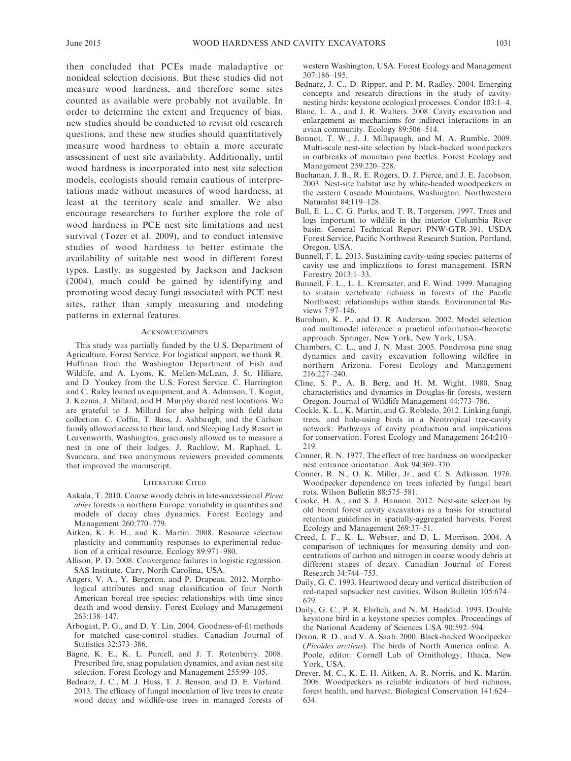then concluded that PCEs made maladaptive or nonideal selection decisions. But these studies did not measure wood hardness, and therefore some sites counted as available were probably not available. In order to determine the extent and frequency of bias, new studies should be conducted to revisit old research questions, and these new studies should quantitatively measure wood hardness to obtain a more accurate assessment of nest site availability. Additionally, until wood hardness is incorporated into nest site selection models, ecologists should remain cautious of interpretations made without measures of wood hardness, at least at the territory scale and smaller. We also encourage researchers to further explore the role of wood hardness in PCE nest site limitations and nest survival (Tozer et al. 2009), and to conduct intensive studies of wood hardness to better estimate the availability of suitable nest wood in different forest types. Lastly, as suggested by Jackson and Jackson (2004), much could be gained by identifying and promoting wood decay fungi associated with PCE nest sites, rather than simply measuring and modeling patterns in external features.

#### **ACKNOWLEDGMENTS**

This study was partially funded by the U.S. Department of Agriculture, Forest Service. For logistical support, we thank R. Huffman from the Washington Department of Fish and Wildlife, and A. Lyons, K. Mellen-McLean, J. St. Hiliare, and D. Youkey from the U.S. Forest Service. C. Harrington and C. Raley loaned us equipment, and A. Adamson, T. Kogut, J. Kozma, J. Millard, and H. Murphy shared nest locations. We are grateful to J. Millard for also helping with field data collection. C. Coffin, T. Bass, J. Ashbaugh, and the Carlson family allowed access to their land, and Sleeping Lady Resort in Leavenworth, Washington, graciously allowed us to measure a nest in one of their lodges. J. Rachlow, M. Raphael, L. Svancara, and two anonymous reviewers provided comments that improved the manuscript.

#### LITERATURE CITED

- Aakala, T. 2010. Coarse woody debris in late-successional Picea abies forests in northern Europe: variability in quantities and models of decay class dynamics. Forest Ecology and Management 260:770–779.
- Aitken, K. E. H., and K. Martin. 2008. Resource selection plasticity and community responses to experimental reduction of a critical resource. Ecology 89:971–980.
- Allison, P. D. 2008. Convergence failures in logistic regression. SAS Institute, Cary, North Carolina, USA.
- Angers, V. A., Y. Bergeron, and P. Drapeau. 2012. Morphological attributes and snag classification of four North American boreal tree species: relationships with time since death and wood density. Forest Ecology and Management 263:138–147.
- Arbogast, P. G., and D. Y. Lin. 2004. Goodness-of-fit methods for matched case-control studies. Canadian Journal of Statistics 32:373–386.
- Bagne, K. E., K. L. Purcell, and J. T. Rotenberry. 2008. Prescribed fire, snag population dynamics, and avian nest site selection. Forest Ecology and Management 255:99–105.
- Bednarz, J. C., M. J. Huss, T. J. Benson, and D. E. Varland. 2013. The efficacy of fungal inoculation of live trees to create wood decay and wildlife-use trees in managed forests of

western Washington, USA. Forest Ecology and Management 307:186–195.

- Bednarz, J. C., D. Ripper, and P. M. Radley. 2004. Emerging concepts and research directions in the study of cavitynesting birds: keystone ecological processes. Condor 103:1–4.
- Blanc, L. A., and J. R. Walters. 2008. Cavity excavation and enlargement as mechanisms for indirect interactions in an avian community. Ecology 89:506–514.
- Bonnot, T. W., J. J. Millspaugh, and M. A. Rumble. 2009. Multi-scale nest-site selection by black-backed woodpeckers in outbreaks of mountain pine beetles. Forest Ecology and Management 259:220–228.
- Buchanan, J. B., R. E. Rogers, D. J. Pierce, and J. E. Jacobson. 2003. Nest-site habitat use by white-headed woodpeckers in the eastern Cascade Mountains, Washington. Northwestern Naturalist 84:119–128.
- Bull, E. L., C. G. Parks, and T. R. Torgersen. 1997. Trees and logs important to wildlife in the interior Columbia River basin. General Technical Report PNW-GTR-391. USDA Forest Service, Pacific Northwest Research Station, Portland, Oregon, USA.
- Bunnell, F. L. 2013. Sustaining cavity-using species: patterns of cavity use and implications to forest management. ISRN Forestry 2013:1–33.
- Bunnell, F. L., L. L. Kremsater, and E. Wind. 1999. Managing to sustain vertebrate richness in forests of the Pacific Northwest: relationships within stands. Environmental Reviews 7:97–146.
- Burnham, K. P., and D. R. Anderson. 2002. Model selection and multimodel inference: a practical information-theoretic approach. Springer, New York, New York, USA.
- Chambers, C. L., and J. N. Mast. 2005. Ponderosa pine snag dynamics and cavity excavation following wildfire in northern Arizona. Forest Ecology and Management 216:227–240.
- Cline, S. P., A. B. Berg, and H. M. Wight. 1980. Snag characteristics and dynamics in Douglas-fir forests, western Oregon. Journal of Wildlife Management 44:773–786.
- Cockle, K. L., K. Martin, and G. Robledo. 2012. Linking fungi, trees, and hole-using birds in a Neotropical tree-cavity network: Pathways of cavity production and implications for conservation. Forest Ecology and Management 264:210– 219.
- Conner, R. N. 1977. The effect of tree hardness on woodpecker nest entrance orientation. Auk 94:369–370.
- Conner, R. N., O. K. Miller, Jr., and C. S. Adkisson. 1976. Woodpecker dependence on trees infected by fungal heart rots. Wilson Bulletin 88:575–581.
- Cooke, H. A., and S. J. Hannon. 2012. Nest-site selection by old boreal forest cavity excavators as a basis for structural retention guidelines in spatially-aggregated harvests. Forest Ecology and Management 269:37–51.
- Creed, I. F., K. L. Webster, and D. L. Morrison. 2004. A comparison of techniques for measuring density and concentrations of carbon and nitrogen in coarse woody debris at different stages of decay. Canadian Journal of Forest Research 34:744–753.
- Daily, G. C. 1993. Heartwood decay and vertical distribution of red-naped sapsucker nest cavities. Wilson Bulletin 105:674– 679.
- Daily, G. C., P. R. Ehrlich, and N. M. Haddad. 1993. Double keystone bird in a keystone species complex. Proceedings of the National Academy of Sciences USA 90:592–594.
- Dixon, R. D., and V. A. Saab. 2000. Black-backed Woodpecker (Picoides arcticus). The birds of North America online. A. Poole, editor. Cornell Lab of Ornithology, Ithaca, New York, USA.
- Drever, M. C., K. E. H. Aitken, A. R. Norris, and K. Martin. 2008. Woodpeckers as reliable indicators of bird richness, forest health, and harvest. Biological Conservation 141:624– 634.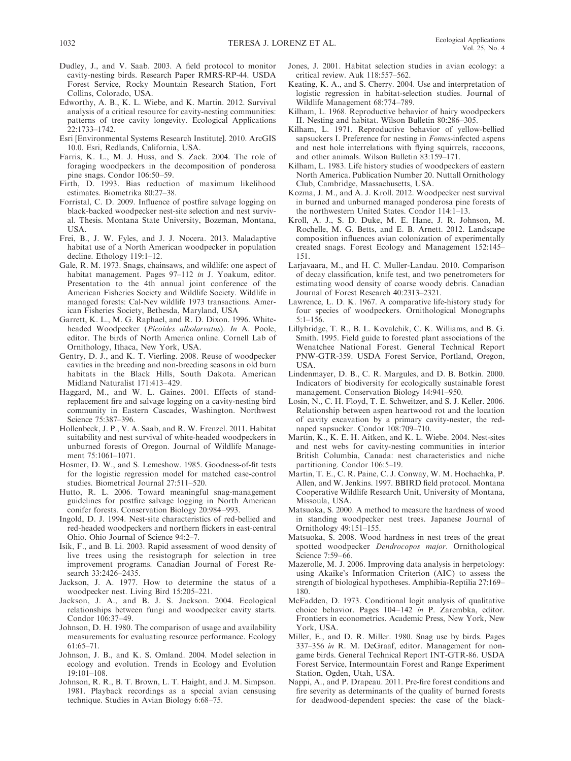- Dudley, J., and V. Saab. 2003. A field protocol to monitor cavity-nesting birds. Research Paper RMRS-RP-44. USDA Forest Service, Rocky Mountain Research Station, Fort Collins, Colorado, USA.
- Edworthy, A. B., K. L. Wiebe, and K. Martin. 2012. Survival analysis of a critical resource for cavity-nesting communities: patterns of tree cavity longevity. Ecological Applications 22:1733–1742.
- Esri [Environmental Systems Research Institute]. 2010. ArcGIS 10.0. Esri, Redlands, California, USA.
- Farris, K. L., M. J. Huss, and S. Zack. 2004. The role of foraging woodpeckers in the decomposition of ponderosa pine snags. Condor 106:50–59.
- Firth, D. 1993. Bias reduction of maximum likelihood estimates. Biometrika 80:27–38.
- Forristal, C. D. 2009. Influence of postfire salvage logging on black-backed woodpecker nest-site selection and nest survival. Thesis. Montana State University, Bozeman, Montana, USA.
- Frei, B., J. W. Fyles, and J. J. Nocera. 2013. Maladaptive habitat use of a North American woodpecker in population decline. Ethology 119:1–12.
- Gale, R. M. 1973. Snags, chainsaws, and wildlife: one aspect of habitat management. Pages 97–112 in J. Yoakum, editor. Presentation to the 4th annual joint conference of the American Fisheries Society and Wildlife Society. Wildlife in managed forests: Cal-Nev wildlife 1973 transactions. American Fisheries Society, Bethesda, Maryland, USA
- Garrett, K. L., M. G. Raphael, and R. D. Dixon. 1996. Whiteheaded Woodpecker (Picoides albolarvatus). In A. Poole, editor. The birds of North America online. Cornell Lab of Ornithology, Ithaca, New York, USA.
- Gentry, D. J., and K. T. Vierling. 2008. Reuse of woodpecker cavities in the breeding and non-breeding seasons in old burn habitats in the Black Hills, South Dakota. American Midland Naturalist 171:413–429.
- Haggard, M., and W. L. Gaines. 2001. Effects of standreplacement fire and salvage logging on a cavity-nesting bird community in Eastern Cascades, Washington. Northwest Science 75:387–396.
- Hollenbeck, J. P., V. A. Saab, and R. W. Frenzel. 2011. Habitat suitability and nest survival of white-headed woodpeckers in unburned forests of Oregon. Journal of Wildlife Management 75:1061–1071.
- Hosmer, D. W., and S. Lemeshow. 1985. Goodness-of-fit tests for the logistic regression model for matched case-control studies. Biometrical Journal 27:511–520.
- Hutto, R. L. 2006. Toward meaningful snag-management guidelines for postfire salvage logging in North American conifer forests. Conservation Biology 20:984–993.
- Ingold, D. J. 1994. Nest-site characteristics of red-bellied and red-headed woodpeckers and northern flickers in east-central Ohio. Ohio Journal of Science 94:2–7.
- Isik, F., and B. Li. 2003. Rapid assessment of wood density of live trees using the resistograph for selection in tree improvement programs. Canadian Journal of Forest Research 33:2426–2435.
- Jackson, J. A. 1977. How to determine the status of a woodpecker nest. Living Bird 15:205–221.
- Jackson, J. A., and B. J. S. Jackson. 2004. Ecological relationships between fungi and woodpecker cavity starts. Condor 106:37–49.
- Johnson, D. H. 1980. The comparison of usage and availability measurements for evaluating resource performance. Ecology 61:65–71.
- Johnson, J. B., and K. S. Omland. 2004. Model selection in ecology and evolution. Trends in Ecology and Evolution 19:101–108.
- Johnson, R. R., B. T. Brown, L. T. Haight, and J. M. Simpson. 1981. Playback recordings as a special avian censusing technique. Studies in Avian Biology 6:68–75.
- Jones, J. 2001. Habitat selection studies in avian ecology: a critical review. Auk 118:557–562.
- Keating, K. A., and S. Cherry. 2004. Use and interpretation of logistic regression in habitat-selection studies. Journal of Wildlife Management 68:774–789.
- Kilham, L. 1968. Reproductive behavior of hairy woodpeckers II. Nesting and habitat. Wilson Bulletin 80:286–305.
- Kilham, L. 1971. Reproductive behavior of yellow-bellied sapsuckers I. Preference for nesting in *Fomes*-infected aspens and nest hole interrelations with flying squirrels, raccoons, and other animals. Wilson Bulletin 83:159–171.
- Kilham, L. 1983. Life history studies of woodpeckers of eastern North America. Publication Number 20. Nuttall Ornithology Club, Cambridge, Massachusetts, USA.
- Kozma, J. M., and A. J. Kroll. 2012. Woodpecker nest survival in burned and unburned managed ponderosa pine forests of the northwestern United States. Condor 114:1–13.
- Kroll, A. J., S. D. Duke, M. E. Hane, J. R. Johnson, M. Rochelle, M. G. Betts, and E. B. Arnett. 2012. Landscape composition influences avian colonization of experimentally created snags. Forest Ecology and Management 152:145– 151.
- Larjavaara, M., and H. C. Muller-Landau. 2010. Comparison of decay classification, knife test, and two penetrometers for estimating wood density of coarse woody debris. Canadian Journal of Forest Research 40:2313–2321.
- Lawrence, L. D. K. 1967. A comparative life-history study for four species of woodpeckers. Ornithological Monographs 5:1–156.
- Lillybridge, T. R., B. L. Kovalchik, C. K. Williams, and B. G. Smith. 1995. Field guide to forested plant associations of the Wenatchee National Forest. General Technical Report PNW-GTR-359. USDA Forest Service, Portland, Oregon, USA.
- Lindenmayer, D. B., C. R. Margules, and D. B. Botkin. 2000. Indicators of biodiversity for ecologically sustainable forest management. Conservation Biology 14:941–950.
- Losin, N., C. H. Floyd, T. E. Schweitzer, and S. J. Keller. 2006. Relationship between aspen heartwood rot and the location of cavity excavation by a primary cavity-nester, the rednaped sapsucker. Condor 108:709–710.
- Martin, K., K. E. H. Aitken, and K. L. Wiebe. 2004. Nest-sites and nest webs for cavity-nesting communities in interior British Columbia, Canada: nest characteristics and niche partitioning. Condor 106:5–19.
- Martin, T. E., C. R. Paine, C. J. Conway, W. M. Hochachka, P. Allen, and W. Jenkins. 1997. BBIRD field protocol. Montana Cooperative Wildlife Research Unit, University of Montana, Missoula, USA.
- Matsuoka, S. 2000. A method to measure the hardness of wood in standing woodpecker nest trees. Japanese Journal of Ornithology 49:151–155.
- Matsuoka, S. 2008. Wood hardness in nest trees of the great spotted woodpecker Dendrocopos major. Ornithological Science 7:59–66.
- Mazerolle, M. J. 2006. Improving data analysis in herpetology: using Akaike's Information Criterion (AIC) to assess the strength of biological hypotheses. Amphibia-Reptilia 27:169– 180.
- McFadden, D. 1973. Conditional logit analysis of qualitative choice behavior. Pages 104–142 in P. Zarembka, editor. Frontiers in econometrics. Academic Press, New York, New York, USA.
- Miller, E., and D. R. Miller. 1980. Snag use by birds. Pages 337–356 in R. M. DeGraaf, editor. Management for nongame birds. General Technical Report INT-GTR-86. USDA Forest Service, Intermountain Forest and Range Experiment Station, Ogden, Utah, USA.
- Nappi, A., and P. Drapeau. 2011. Pre-fire forest conditions and fire severity as determinants of the quality of burned forests for deadwood-dependent species: the case of the black-